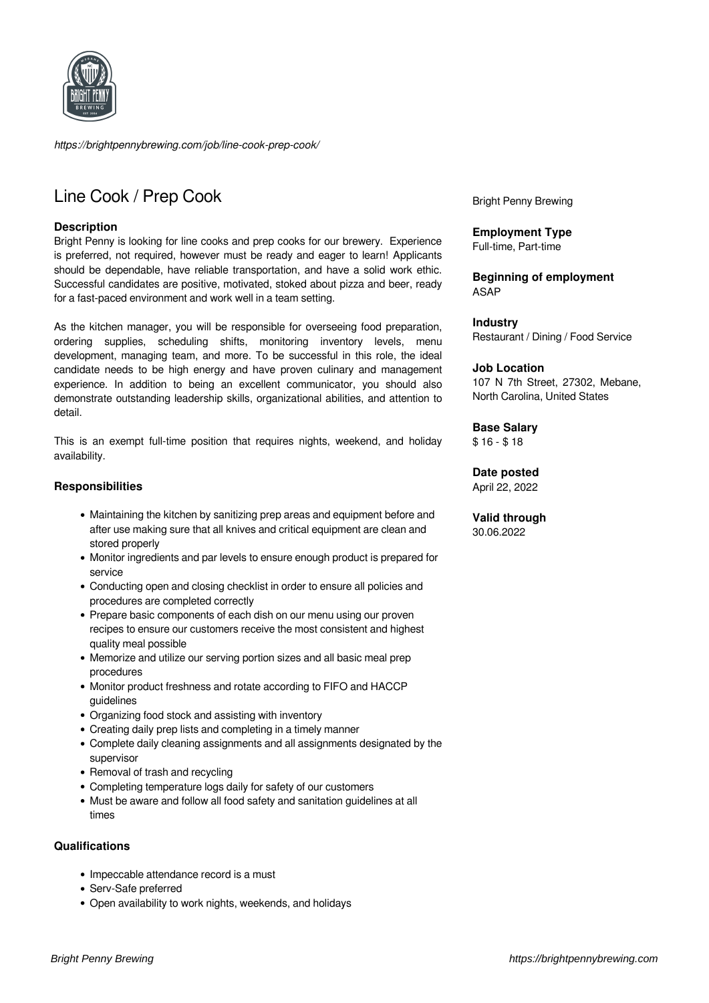

*https://brightpennybrewing.com/job/line-cook-prep-cook/*

# Line Cook / Prep Cook

## **Description**

Bright Penny is looking for line cooks and prep cooks for our brewery. Experience is preferred, not required, however must be ready and eager to learn! Applicants should be dependable, have reliable transportation, and have a solid work ethic. Successful candidates are positive, motivated, stoked about pizza and beer, ready for a fast-paced environment and work well in a team setting.

As the kitchen manager, you will be responsible for overseeing food preparation, ordering supplies, scheduling shifts, monitoring inventory levels, menu development, managing team, and more. To be successful in this role, the ideal candidate needs to be high energy and have proven culinary and management experience. In addition to being an excellent communicator, you should also demonstrate outstanding leadership skills, organizational abilities, and attention to detail.

This is an exempt full-time position that requires nights, weekend, and holiday availability.

## **Responsibilities**

- Maintaining the kitchen by sanitizing prep areas and equipment before and after use making sure that all knives and critical equipment are clean and stored properly
- Monitor ingredients and par levels to ensure enough product is prepared for service
- Conducting open and closing checklist in order to ensure all policies and procedures are completed correctly
- Prepare basic components of each dish on our menu using our proven recipes to ensure our customers receive the most consistent and highest quality meal possible
- Memorize and utilize our serving portion sizes and all basic meal prep procedures
- Monitor product freshness and rotate according to FIFO and HACCP guidelines
- Organizing food stock and assisting with inventory
- Creating daily prep lists and completing in a timely manner
- Complete daily cleaning assignments and all assignments designated by the supervisor
- Removal of trash and recycling
- Completing temperature logs daily for safety of our customers
- Must be aware and follow all food safety and sanitation guidelines at all times

### **Qualifications**

- Impeccable attendance record is a must
- Serv-Safe preferred
- Open availability to work nights, weekends, and holidays

Bright Penny Brewing

**Employment Type** Full-time, Part-time

**Beginning of employment** ASAP

**Industry** Restaurant / Dining / Food Service

#### **Job Location**

107 N 7th Street, 27302, Mebane, North Carolina, United States

### **Base Salary**

\$ 16 - \$ 18

## **Date posted**

April 22, 2022

**Valid through** 30.06.2022